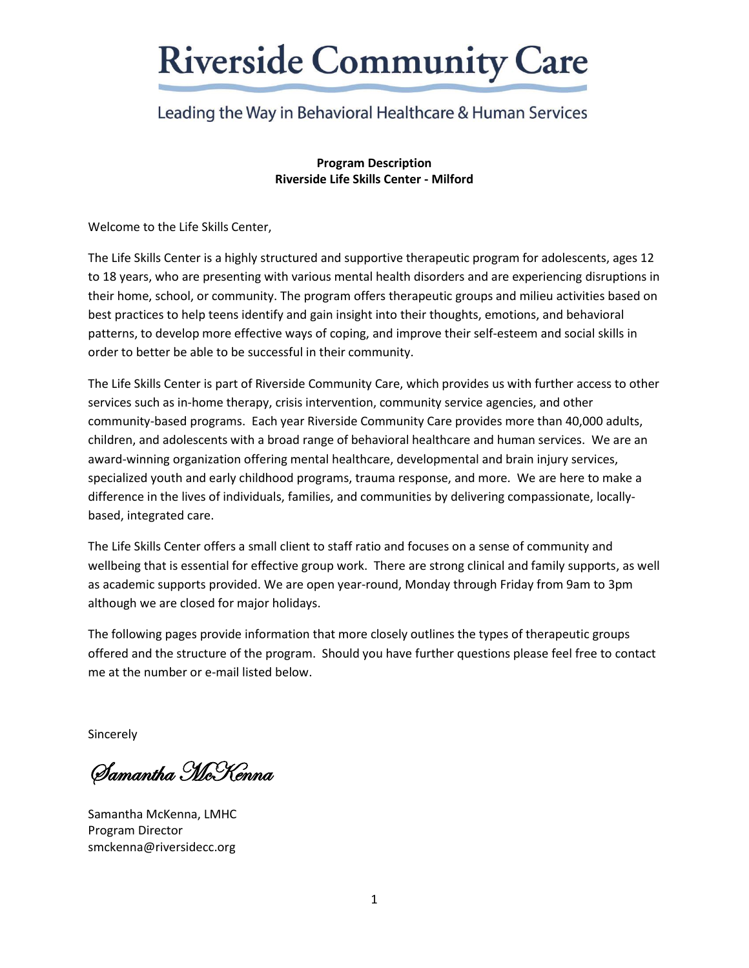### Leading the Way in Behavioral Healthcare & Human Services

**Program Description Riverside Life Skills Center - Milford**

Welcome to the Life Skills Center,

The Life Skills Center is a highly structured and supportive therapeutic program for adolescents, ages 12 to 18 years, who are presenting with various mental health disorders and are experiencing disruptions in their home, school, or community. The program offers therapeutic groups and milieu activities based on best practices to help teens identify and gain insight into their thoughts, emotions, and behavioral patterns, to develop more effective ways of coping, and improve their self-esteem and social skills in order to better be able to be successful in their community.

The Life Skills Center is part of Riverside Community Care, which provides us with further access to other services such as in-home therapy, crisis intervention, community service agencies, and other community-based programs. Each year Riverside Community Care provides more than 40,000 adults, children, and adolescents with a broad range of behavioral healthcare and human services. We are an award-winning organization offering mental healthcare, developmental and brain injury services, specialized youth and early childhood programs, trauma response, and more. We are here to make a difference in the lives of individuals, families, and communities by delivering compassionate, locallybased, integrated care.

The Life Skills Center offers a small client to staff ratio and focuses on a sense of community and wellbeing that is essential for effective group work. There are strong clinical and family supports, as well as academic supports provided. We are open year-round, Monday through Friday from 9am to 3pm although we are closed for major holidays.

The following pages provide information that more closely outlines the types of therapeutic groups offered and the structure of the program. Should you have further questions please feel free to contact me at the number or e-mail listed below.

Sincerely

Samantha McKenna

Samantha McKenna, LMHC Program Director smckenna@riversidecc.org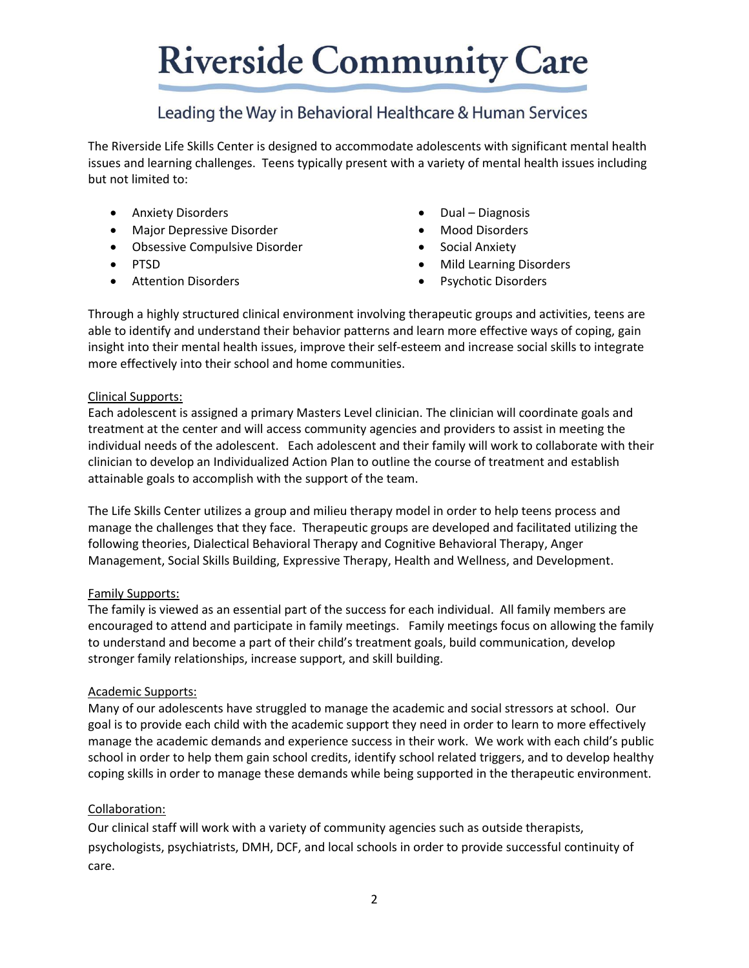### Leading the Way in Behavioral Healthcare & Human Services

The Riverside Life Skills Center is designed to accommodate adolescents with significant mental health issues and learning challenges. Teens typically present with a variety of mental health issues including but not limited to:

- Anxiety Disorders
- Major Depressive Disorder
- Obsessive Compulsive Disorder
- PTSD
- Attention Disorders
- Dual Diagnosis
- Mood Disorders
- Social Anxiety
- Mild Learning Disorders
- Psychotic Disorders

Through a highly structured clinical environment involving therapeutic groups and activities, teens are able to identify and understand their behavior patterns and learn more effective ways of coping, gain insight into their mental health issues, improve their self-esteem and increase social skills to integrate more effectively into their school and home communities.

#### Clinical Supports:

Each adolescent is assigned a primary Masters Level clinician. The clinician will coordinate goals and treatment at the center and will access community agencies and providers to assist in meeting the individual needs of the adolescent. Each adolescent and their family will work to collaborate with their clinician to develop an Individualized Action Plan to outline the course of treatment and establish attainable goals to accomplish with the support of the team.

The Life Skills Center utilizes a group and milieu therapy model in order to help teens process and manage the challenges that they face. Therapeutic groups are developed and facilitated utilizing the following theories, Dialectical Behavioral Therapy and Cognitive Behavioral Therapy, Anger Management, Social Skills Building, Expressive Therapy, Health and Wellness, and Development.

#### Family Supports:

The family is viewed as an essential part of the success for each individual. All family members are encouraged to attend and participate in family meetings. Family meetings focus on allowing the family to understand and become a part of their child's treatment goals, build communication, develop stronger family relationships, increase support, and skill building.

#### Academic Supports:

Many of our adolescents have struggled to manage the academic and social stressors at school. Our goal is to provide each child with the academic support they need in order to learn to more effectively manage the academic demands and experience success in their work. We work with each child's public school in order to help them gain school credits, identify school related triggers, and to develop healthy coping skills in order to manage these demands while being supported in the therapeutic environment.

#### Collaboration:

Our clinical staff will work with a variety of community agencies such as outside therapists, psychologists, psychiatrists, DMH, DCF, and local schools in order to provide successful continuity of care.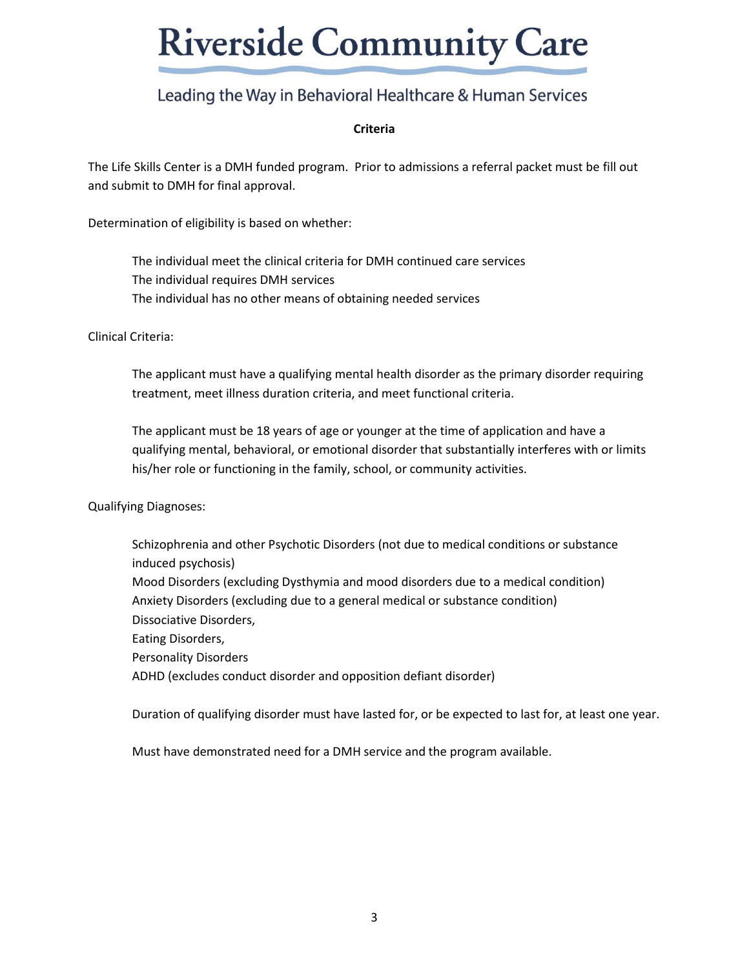### Leading the Way in Behavioral Healthcare & Human Services

#### **Criteria**

The Life Skills Center is a DMH funded program. Prior to admissions a referral packet must be fill out and submit to DMH for final approval.

Determination of eligibility is based on whether:

The individual meet the clinical criteria for DMH continued care services The individual requires DMH services The individual has no other means of obtaining needed services

Clinical Criteria:

The applicant must have a qualifying mental health disorder as the primary disorder requiring treatment, meet illness duration criteria, and meet functional criteria.

The applicant must be 18 years of age or younger at the time of application and have a qualifying mental, behavioral, or emotional disorder that substantially interferes with or limits his/her role or functioning in the family, school, or community activities.

Qualifying Diagnoses:

Schizophrenia and other Psychotic Disorders (not due to medical conditions or substance induced psychosis) Mood Disorders (excluding Dysthymia and mood disorders due to a medical condition) Anxiety Disorders (excluding due to a general medical or substance condition) Dissociative Disorders, Eating Disorders, Personality Disorders ADHD (excludes conduct disorder and opposition defiant disorder)

Duration of qualifying disorder must have lasted for, or be expected to last for, at least one year.

Must have demonstrated need for a DMH service and the program available.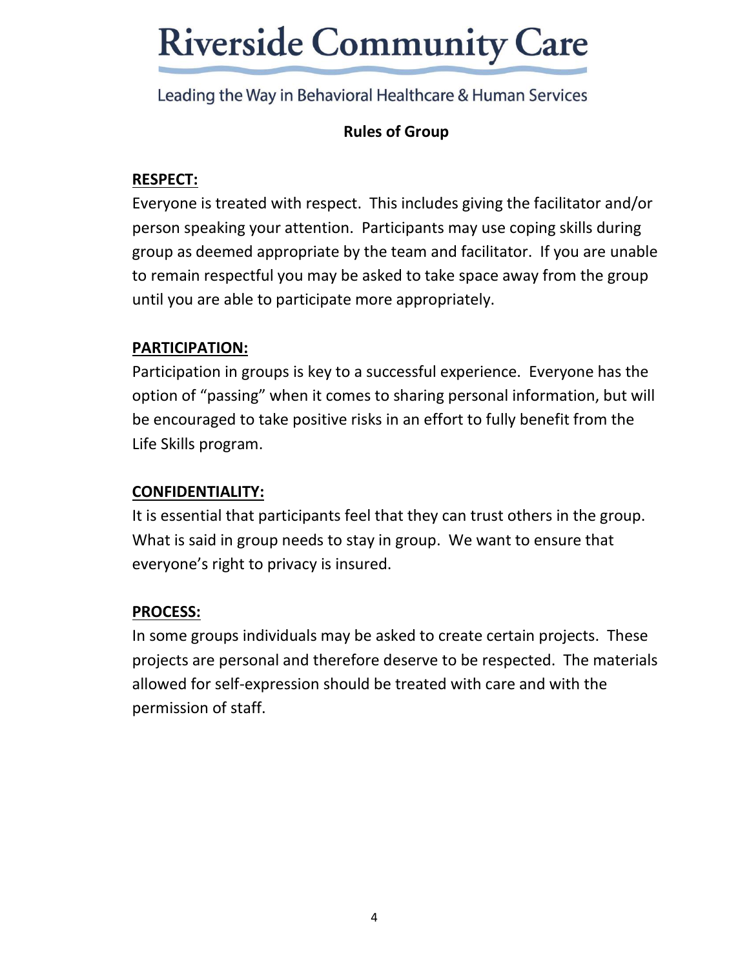Leading the Way in Behavioral Healthcare & Human Services

### **Rules of Group**

### **RESPECT:**

Everyone is treated with respect. This includes giving the facilitator and/or person speaking your attention. Participants may use coping skills during group as deemed appropriate by the team and facilitator. If you are unable to remain respectful you may be asked to take space away from the group until you are able to participate more appropriately.

### **PARTICIPATION:**

Participation in groups is key to a successful experience. Everyone has the option of "passing" when it comes to sharing personal information, but will be encouraged to take positive risks in an effort to fully benefit from the Life Skills program.

### **CONFIDENTIALITY:**

It is essential that participants feel that they can trust others in the group. What is said in group needs to stay in group. We want to ensure that everyone's right to privacy is insured.

#### **PROCESS:**

In some groups individuals may be asked to create certain projects. These projects are personal and therefore deserve to be respected. The materials allowed for self-expression should be treated with care and with the permission of staff.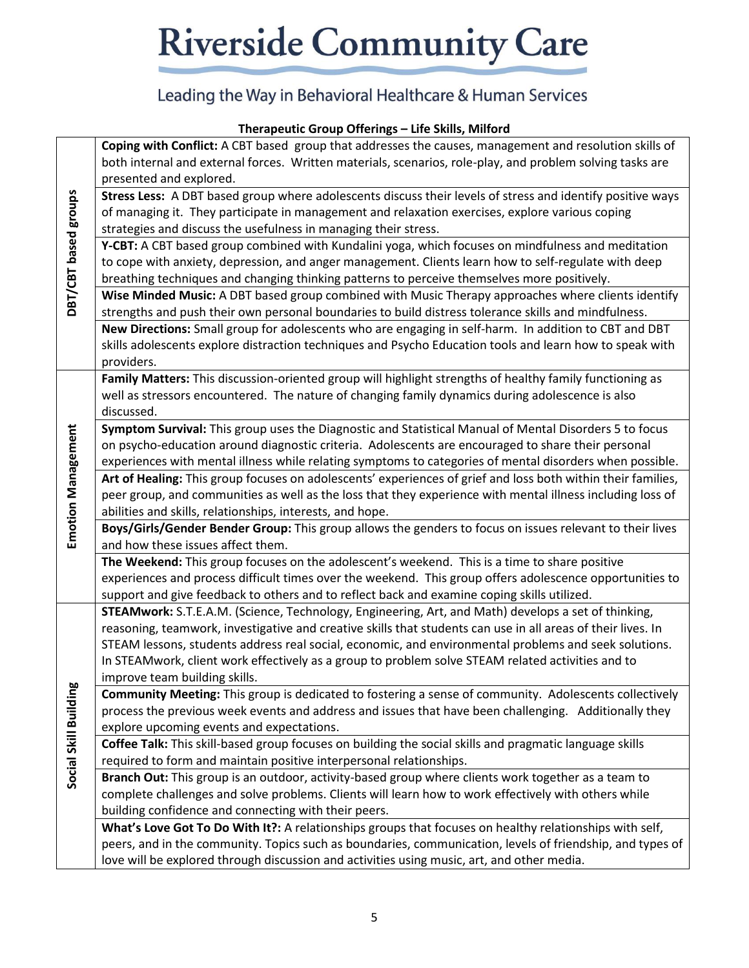## Leading the Way in Behavioral Healthcare & Human Services

#### **Therapeutic Group Offerings – Life Skills, Milford**

| DBT/CBT based groups      | Coping with Conflict: A CBT based group that addresses the causes, management and resolution skills of                                                                                             |
|---------------------------|----------------------------------------------------------------------------------------------------------------------------------------------------------------------------------------------------|
|                           | both internal and external forces. Written materials, scenarios, role-play, and problem solving tasks are                                                                                          |
|                           | presented and explored.                                                                                                                                                                            |
|                           | Stress Less: A DBT based group where adolescents discuss their levels of stress and identify positive ways                                                                                         |
|                           | of managing it. They participate in management and relaxation exercises, explore various coping                                                                                                    |
|                           | strategies and discuss the usefulness in managing their stress.                                                                                                                                    |
|                           | Y-CBT: A CBT based group combined with Kundalini yoga, which focuses on mindfulness and meditation                                                                                                 |
|                           | to cope with anxiety, depression, and anger management. Clients learn how to self-regulate with deep                                                                                               |
|                           | breathing techniques and changing thinking patterns to perceive themselves more positively.                                                                                                        |
|                           | Wise Minded Music: A DBT based group combined with Music Therapy approaches where clients identify                                                                                                 |
|                           | strengths and push their own personal boundaries to build distress tolerance skills and mindfulness.                                                                                               |
|                           | New Directions: Small group for adolescents who are engaging in self-harm. In addition to CBT and DBT                                                                                              |
|                           | skills adolescents explore distraction techniques and Psycho Education tools and learn how to speak with                                                                                           |
|                           | providers.                                                                                                                                                                                         |
|                           | Family Matters: This discussion-oriented group will highlight strengths of healthy family functioning as                                                                                           |
|                           | well as stressors encountered. The nature of changing family dynamics during adolescence is also                                                                                                   |
|                           | discussed.                                                                                                                                                                                         |
|                           | Symptom Survival: This group uses the Diagnostic and Statistical Manual of Mental Disorders 5 to focus                                                                                             |
|                           | on psycho-education around diagnostic criteria. Adolescents are encouraged to share their personal                                                                                                 |
| <b>Emotion Management</b> | experiences with mental illness while relating symptoms to categories of mental disorders when possible.                                                                                           |
|                           | Art of Healing: This group focuses on adolescents' experiences of grief and loss both within their families,                                                                                       |
|                           | peer group, and communities as well as the loss that they experience with mental illness including loss of                                                                                         |
|                           | abilities and skills, relationships, interests, and hope.                                                                                                                                          |
|                           | Boys/Girls/Gender Bender Group: This group allows the genders to focus on issues relevant to their lives                                                                                           |
|                           | and how these issues affect them.                                                                                                                                                                  |
|                           | The Weekend: This group focuses on the adolescent's weekend. This is a time to share positive                                                                                                      |
|                           | experiences and process difficult times over the weekend. This group offers adolescence opportunities to                                                                                           |
|                           | support and give feedback to others and to reflect back and examine coping skills utilized.<br>STEAMwork: S.T.E.A.M. (Science, Technology, Engineering, Art, and Math) develops a set of thinking, |
| Social Skill Building     | reasoning, teamwork, investigative and creative skills that students can use in all areas of their lives. In                                                                                       |
|                           | STEAM lessons, students address real social, economic, and environmental problems and seek solutions.                                                                                              |
|                           | In STEAMwork, client work effectively as a group to problem solve STEAM related activities and to                                                                                                  |
|                           | improve team building skills.                                                                                                                                                                      |
|                           | Community Meeting: This group is dedicated to fostering a sense of community. Adolescents collectively                                                                                             |
|                           | process the previous week events and address and issues that have been challenging. Additionally they                                                                                              |
|                           | explore upcoming events and expectations.                                                                                                                                                          |
|                           | Coffee Talk: This skill-based group focuses on building the social skills and pragmatic language skills                                                                                            |
|                           | required to form and maintain positive interpersonal relationships.                                                                                                                                |
|                           | Branch Out: This group is an outdoor, activity-based group where clients work together as a team to                                                                                                |
|                           | complete challenges and solve problems. Clients will learn how to work effectively with others while                                                                                               |
|                           | building confidence and connecting with their peers.                                                                                                                                               |
|                           | What's Love Got To Do With It?: A relationships groups that focuses on healthy relationships with self,                                                                                            |
|                           | peers, and in the community. Topics such as boundaries, communication, levels of friendship, and types of                                                                                          |
|                           | love will be explored through discussion and activities using music, art, and other media.                                                                                                         |
|                           |                                                                                                                                                                                                    |